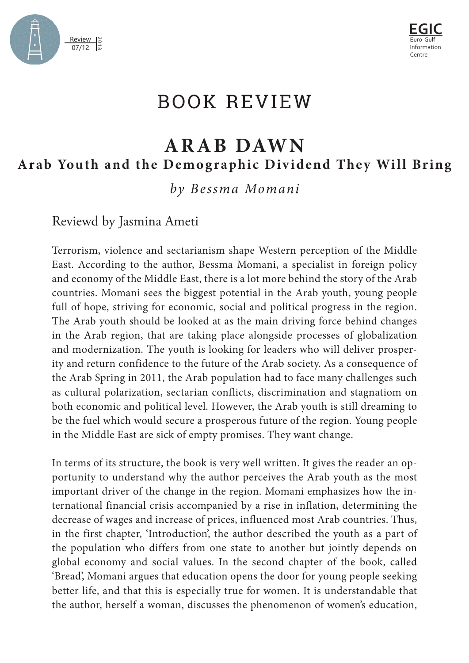



## BOOK REVIEW

## **ARAB DAWN** Arab Youth and the Demographic Dividend They Will Bring

*by Bessma Momani*

Reviewd by Jasmina Ameti

Terrorism, violence and sectarianism shape Western perception of the Middle East. According to the author, Bessma Momani, a specialist in foreign policy and economy of the Middle East, there is a lot more behind the story of the Arab countries. Momani sees the biggest potential in the Arab youth, young people full of hope, striving for economic, social and political progress in the region. The Arab youth should be looked at as the main driving force behind changes in the Arab region, that are taking place alongside processes of globalization and modernization. The youth is looking for leaders who will deliver prosperity and return confidence to the future of the Arab society. As a consequence of the Arab Spring in 2011, the Arab population had to face many challenges such as cultural polarization, sectarian conflicts, discrimination and stagnatiom on both economic and political level. However, the Arab youth is still dreaming to be the fuel which would secure a prosperous future of the region. Young people in the Middle East are sick of empty promises. They want change.

In terms of its structure, the book is very well written. It gives the reader an opportunity to understand why the author perceives the Arab youth as the most important driver of the change in the region. Momani emphasizes how the international financial crisis accompanied by a rise in inflation, determining the decrease of wages and increase of prices, influenced most Arab countries. Thus, in the first chapter, 'Introduction', the author described the youth as a part of the population who differs from one state to another but jointly depends on global economy and social values. In the second chapter of the book, called 'Bread', Momani argues that education opens the door for young people seeking better life, and that this is especially true for women. It is understandable that the author, herself a woman, discusses the phenomenon of women's education,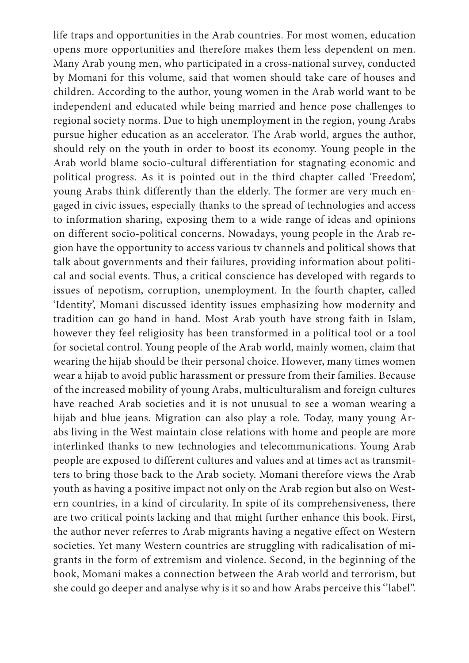life traps and opportunities in the Arab countries. For most women, education opens more opportunities and therefore makes them less dependent on men. Many Arab young men, who participated in a cross-national survey, conducted by Momani for this volume, said that women should take care of houses and children. According to the author, young women in the Arab world want to be independent and educated while being married and hence pose challenges to regional society norms. Due to high unemployment in the region, young Arabs pursue higher education as an accelerator. The Arab world, argues the author, should rely on the youth in order to boost its economy. Young people in the Arab world blame socio-cultural differentiation for stagnating economic and political progress. As it is pointed out in the third chapter called 'Freedom', young Arabs think differently than the elderly. The former are very much engaged in civic issues, especially thanks to the spread of technologies and access to information sharing, exposing them to a wide range of ideas and opinions on different socio-political concerns. Nowadays, young people in the Arab region have the opportunity to access various tv channels and political shows that talk about governments and their failures, providing information about political and social events. Thus, a critical conscience has developed with regards to issues of nepotism, corruption, unemployment. In the fourth chapter, called 'Identity', Momani discussed identity issues emphasizing how modernity and tradition can go hand in hand. Most Arab youth have strong faith in Islam, however they feel religiosity has been transformed in a political tool or a tool for societal control. Young people of the Arab world, mainly women, claim that wearing the hijab should be their personal choice. However, many times women wear a hijab to avoid public harassment or pressure from their families. Because of the increased mobility of young Arabs, multiculturalism and foreign cultures have reached Arab societies and it is not unusual to see a woman wearing a hijab and blue jeans. Migration can also play a role. Today, many young Arabs living in the West maintain close relations with home and people are more interlinked thanks to new technologies and telecommunications. Young Arab people are exposed to different cultures and values and at times act as transmitters to bring those back to the Arab society. Momani therefore views the Arab youth as having a positive impact not only on the Arab region but also on Western countries, in a kind of circularity. In spite of its comprehensiveness, there are two critical points lacking and that might further enhance this book. First, the author never referres to Arab migrants having a negative effect on Western societies. Yet many Western countries are struggling with radicalisation of migrants in the form of extremism and violence. Second, in the beginning of the book, Momani makes a connection between the Arab world and terrorism, but she could go deeper and analyse why is it so and how Arabs perceive this ''label''.